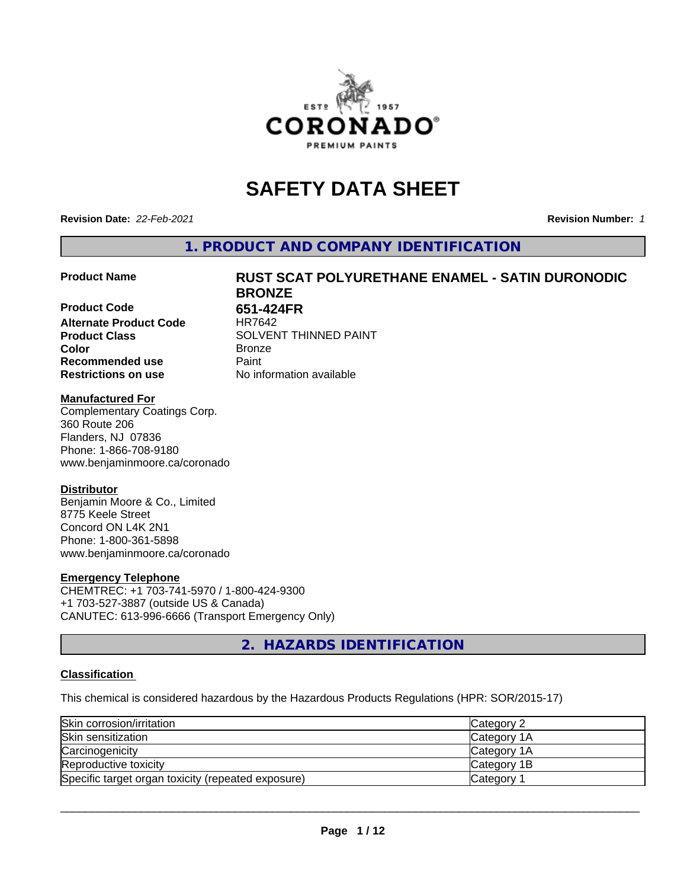

# **SAFETY DATA SHEET**

**Revision Date:** *22-Feb-2021* **Revision Number:** *1*

**1. PRODUCT AND COMPANY IDENTIFICATION**

**Product Code 651-424FR Alternate Product Code** HR7642 **Product Class** SOLVENT THINNED PAINT<br> **Color** Bronze **Color** Bronze **Recommended use Caint Restrictions on use** No information available

# **Product Name RUST SCAT POLYURETHANE ENAMEL - SATIN DURONODIC BRONZE**

#### **Manufactured For**

Complementary Coatings Corp. 360 Route 206 Flanders, NJ 07836 Phone: 1-866-708-9180 www.benjaminmoore.ca/coronado

#### **Distributor**

Benjamin Moore & Co., Limited 8775 Keele Street Concord ON L4K 2N1 Phone: 1-800-361-5898 www.benjaminmoore.ca/coronado

#### **Emergency Telephone**

CHEMTREC: +1 703-741-5970 / 1-800-424-9300 +1 703-527-3887 (outside US & Canada) CANUTEC: 613-996-6666 (Transport Emergency Only)

**2. HAZARDS IDENTIFICATION**

#### **Classification**

This chemical is considered hazardous by the Hazardous Products Regulations (HPR: SOR/2015-17)

| Skin corrosion/irritation                          | Category 2            |
|----------------------------------------------------|-----------------------|
| Skin sensitization                                 | <b>ICategory 1A</b>   |
| Carcinogenicity                                    | <b>Category 1A</b>    |
| Reproductive toxicity                              | Category 1B           |
| Specific target organ toxicity (repeated exposure) | Category <sup>2</sup> |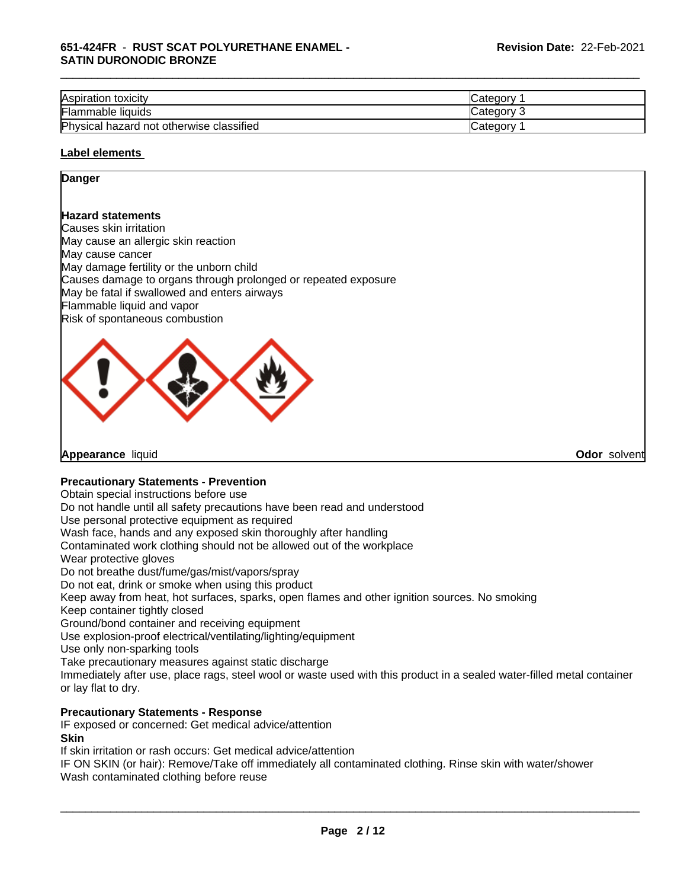#### **651-424FR** - **RUST SCAT POLYURETHANE ENAMEL - SATIN DURONODIC BRONZE**

| Aspiration toxicity                      | <b>Category</b>   |
|------------------------------------------|-------------------|
| <b>Flammable liquids</b>                 | <b>Category 3</b> |
| Physical hazard not otherwise classified | Category          |

\_\_\_\_\_\_\_\_\_\_\_\_\_\_\_\_\_\_\_\_\_\_\_\_\_\_\_\_\_\_\_\_\_\_\_\_\_\_\_\_\_\_\_\_\_\_\_\_\_\_\_\_\_\_\_\_\_\_\_\_\_\_\_\_\_\_\_\_\_\_\_\_\_\_\_\_\_\_\_\_\_\_\_\_\_\_\_\_\_\_\_\_\_

#### **Label elements**

#### **Danger**

#### **Hazard statements**

Causes skin irritation May cause an allergic skin reaction May cause cancer May damage fertility or the unborn child Causes damage to organs through prolonged or repeated exposure May be fatal if swallowed and enters airways Flammable liquid and vapor Risk of spontaneous combustion



**Appearance** liquid **Odor** solvent

#### **Precautionary Statements - Prevention**

Obtain special instructions before use

Do not handle until all safety precautions have been read and understood

Use personal protective equipment as required

Wash face, hands and any exposed skin thoroughly after handling

Contaminated work clothing should not be allowed out of the workplace

Wear protective gloves

Do not breathe dust/fume/gas/mist/vapors/spray

Do not eat, drink or smoke when using this product

Keep away from heat, hot surfaces, sparks, open flames and other ignition sources. No smoking

Keep container tightly closed

Ground/bond container and receiving equipment

Use explosion-proof electrical/ventilating/lighting/equipment

Use only non-sparking tools

Take precautionary measures against static discharge

Immediately after use, place rags, steel wool or waste used with this product in a sealed water-filled metal container or lay flat to dry.

#### **Precautionary Statements - Response**

IF exposed or concerned: Get medical advice/attention

**Skin**

If skin irritation or rash occurs: Get medical advice/attention

IF ON SKIN (or hair): Remove/Take off immediately all contaminated clothing. Rinse skin with water/shower Wash contaminated clothing before reuse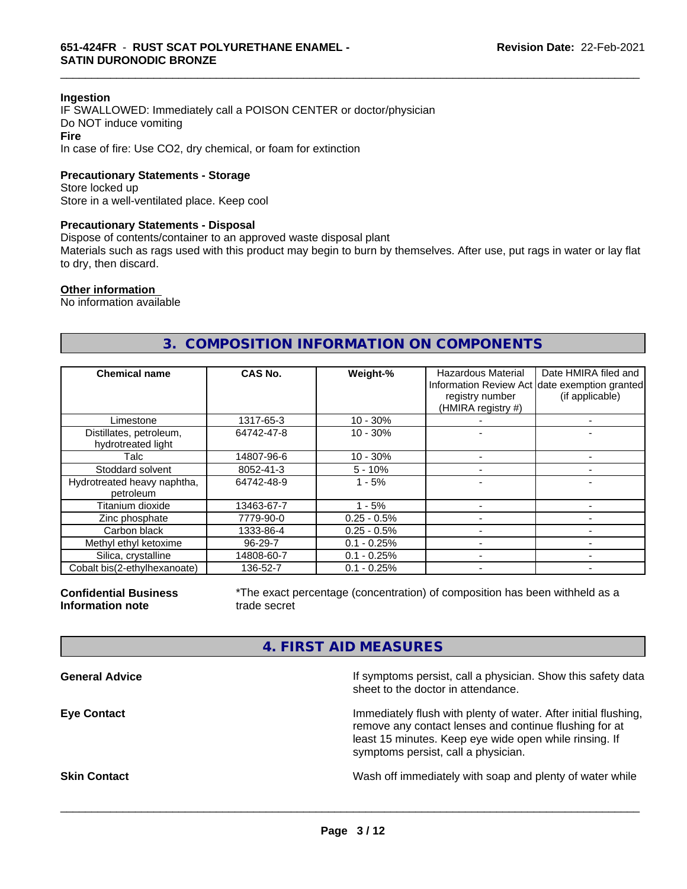#### **Ingestion**

IF SWALLOWED: Immediately call a POISON CENTER or doctor/physician Do NOT induce vomiting **Fire**

In case of fire: Use CO2, dry chemical, or foam for extinction

#### **Precautionary Statements - Storage**

Store locked up Store in a well-ventilated place. Keep cool

#### **Precautionary Statements - Disposal**

Dispose of contents/container to an approved waste disposal plant

Materials such as rags used with this product may begin to burn by themselves. After use, put rags in water or lay flat to dry, then discard.

\_\_\_\_\_\_\_\_\_\_\_\_\_\_\_\_\_\_\_\_\_\_\_\_\_\_\_\_\_\_\_\_\_\_\_\_\_\_\_\_\_\_\_\_\_\_\_\_\_\_\_\_\_\_\_\_\_\_\_\_\_\_\_\_\_\_\_\_\_\_\_\_\_\_\_\_\_\_\_\_\_\_\_\_\_\_\_\_\_\_\_\_\_

#### **Other information**

No information available

### **3. COMPOSITION INFORMATION ON COMPONENTS**

| <b>Chemical name</b>                          | CAS No.       | Weight-%      | Hazardous Material<br>registry number<br>(HMIRA registry #) | Date HMIRA filed and<br>Information Review Act date exemption granted<br>(if applicable) |
|-----------------------------------------------|---------------|---------------|-------------------------------------------------------------|------------------------------------------------------------------------------------------|
| Limestone                                     | 1317-65-3     | $10 - 30%$    |                                                             |                                                                                          |
| Distillates, petroleum,<br>hydrotreated light | 64742-47-8    | $10 - 30%$    |                                                             |                                                                                          |
| Talc                                          | 14807-96-6    | $10 - 30%$    |                                                             |                                                                                          |
| Stoddard solvent                              | 8052-41-3     | $5 - 10%$     |                                                             |                                                                                          |
| Hydrotreated heavy naphtha,<br>petroleum      | 64742-48-9    | $1 - 5%$      |                                                             |                                                                                          |
| Titanium dioxide                              | 13463-67-7    | $1 - 5%$      |                                                             |                                                                                          |
| Zinc phosphate                                | 7779-90-0     | $0.25 - 0.5%$ |                                                             |                                                                                          |
| Carbon black                                  | 1333-86-4     | $0.25 - 0.5%$ |                                                             |                                                                                          |
| Methyl ethyl ketoxime                         | $96 - 29 - 7$ | $0.1 - 0.25%$ |                                                             |                                                                                          |
| Silica, crystalline                           | 14808-60-7    | $0.1 - 0.25%$ |                                                             |                                                                                          |
| Cobalt bis(2-ethylhexanoate)                  | 136-52-7      | $0.1 - 0.25%$ |                                                             |                                                                                          |

**Confidential Business Information note**

\*The exact percentage (concentration) of composition has been withheld as a trade secret

#### **4. FIRST AID MEASURES**

| <b>General Advice</b> | If symptoms persist, call a physician. Show this safety data<br>sheet to the doctor in attendance.                                                                                                                         |
|-----------------------|----------------------------------------------------------------------------------------------------------------------------------------------------------------------------------------------------------------------------|
| <b>Eye Contact</b>    | Immediately flush with plenty of water. After initial flushing,<br>remove any contact lenses and continue flushing for at<br>least 15 minutes. Keep eye wide open while rinsing. If<br>symptoms persist, call a physician. |
| <b>Skin Contact</b>   | Wash off immediately with soap and plenty of water while                                                                                                                                                                   |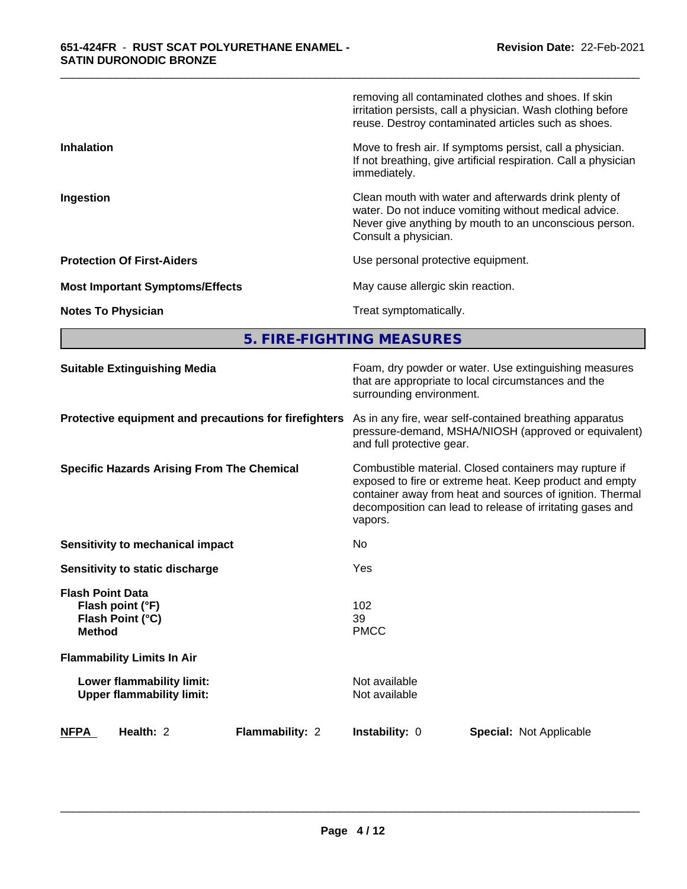|                                        | removing all contaminated clothes and shoes. If skin<br>irritation persists, call a physician. Wash clothing before<br>reuse. Destroy contaminated articles such as shoes.                       |
|----------------------------------------|--------------------------------------------------------------------------------------------------------------------------------------------------------------------------------------------------|
| <b>Inhalation</b>                      | Move to fresh air. If symptoms persist, call a physician.<br>If not breathing, give artificial respiration. Call a physician<br>immediately.                                                     |
| Ingestion                              | Clean mouth with water and afterwards drink plenty of<br>water. Do not induce vomiting without medical advice.<br>Never give anything by mouth to an unconscious person.<br>Consult a physician. |
| <b>Protection Of First-Aiders</b>      | Use personal protective equipment.                                                                                                                                                               |
| <b>Most Important Symptoms/Effects</b> | May cause allergic skin reaction.                                                                                                                                                                |
| <b>Notes To Physician</b>              | Treat symptomatically.                                                                                                                                                                           |

\_\_\_\_\_\_\_\_\_\_\_\_\_\_\_\_\_\_\_\_\_\_\_\_\_\_\_\_\_\_\_\_\_\_\_\_\_\_\_\_\_\_\_\_\_\_\_\_\_\_\_\_\_\_\_\_\_\_\_\_\_\_\_\_\_\_\_\_\_\_\_\_\_\_\_\_\_\_\_\_\_\_\_\_\_\_\_\_\_\_\_\_\_

**5. FIRE-FIGHTING MEASURES**

| <b>Suitable Extinguishing Media</b>                                              | Foam, dry powder or water. Use extinguishing measures<br>that are appropriate to local circumstances and the<br>surrounding environment.                                                                                                               |
|----------------------------------------------------------------------------------|--------------------------------------------------------------------------------------------------------------------------------------------------------------------------------------------------------------------------------------------------------|
| Protective equipment and precautions for firefighters                            | As in any fire, wear self-contained breathing apparatus<br>pressure-demand, MSHA/NIOSH (approved or equivalent)<br>and full protective gear.                                                                                                           |
| <b>Specific Hazards Arising From The Chemical</b>                                | Combustible material. Closed containers may rupture if<br>exposed to fire or extreme heat. Keep product and empty<br>container away from heat and sources of ignition. Thermal<br>decomposition can lead to release of irritating gases and<br>vapors. |
| Sensitivity to mechanical impact                                                 | <b>No</b>                                                                                                                                                                                                                                              |
| Sensitivity to static discharge                                                  | Yes                                                                                                                                                                                                                                                    |
| <b>Flash Point Data</b><br>Flash point (°F)<br>Flash Point (°C)<br><b>Method</b> | 102<br>39<br><b>PMCC</b>                                                                                                                                                                                                                               |
| <b>Flammability Limits In Air</b>                                                |                                                                                                                                                                                                                                                        |
| Lower flammability limit:<br><b>Upper flammability limit:</b>                    | Not available<br>Not available                                                                                                                                                                                                                         |
| <b>NFPA</b><br>Flammability: 2<br>Health: 2                                      | Instability: 0<br><b>Special: Not Applicable</b>                                                                                                                                                                                                       |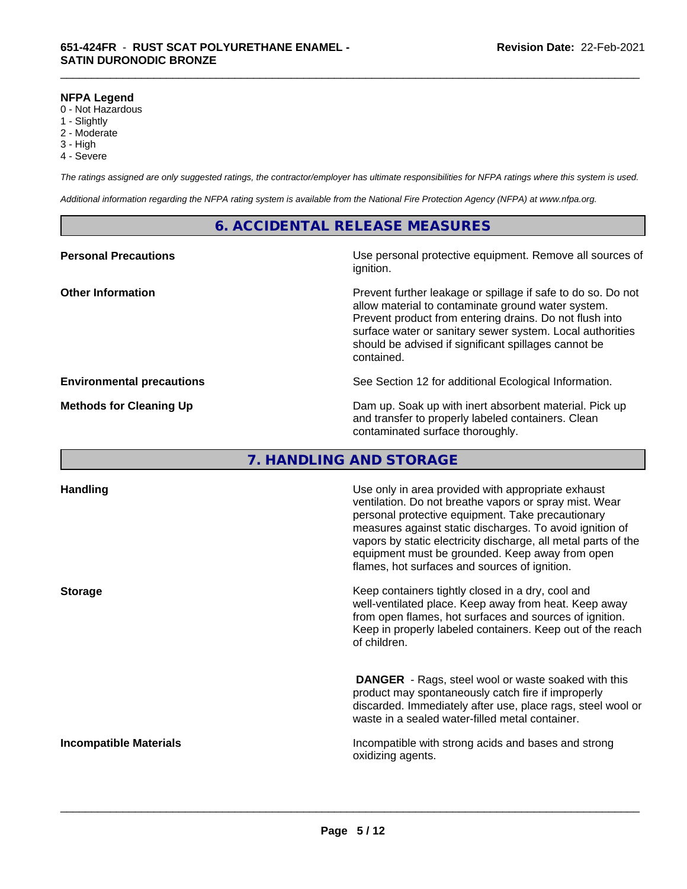#### **NFPA Legend**

- 0 Not Hazardous
- 1 Slightly
- 2 Moderate
- 3 High
- 4 Severe

*The ratings assigned are only suggested ratings, the contractor/employer has ultimate responsibilities for NFPA ratings where this system is used.*

\_\_\_\_\_\_\_\_\_\_\_\_\_\_\_\_\_\_\_\_\_\_\_\_\_\_\_\_\_\_\_\_\_\_\_\_\_\_\_\_\_\_\_\_\_\_\_\_\_\_\_\_\_\_\_\_\_\_\_\_\_\_\_\_\_\_\_\_\_\_\_\_\_\_\_\_\_\_\_\_\_\_\_\_\_\_\_\_\_\_\_\_\_

*Additional information regarding the NFPA rating system is available from the National Fire Protection Agency (NFPA) at www.nfpa.org.*

#### **6. ACCIDENTAL RELEASE MEASURES**

| Use personal protective equipment. Remove all sources of<br>ignition.                                                                                                                                                                                                                                            |
|------------------------------------------------------------------------------------------------------------------------------------------------------------------------------------------------------------------------------------------------------------------------------------------------------------------|
| Prevent further leakage or spillage if safe to do so. Do not<br>allow material to contaminate ground water system.<br>Prevent product from entering drains. Do not flush into<br>surface water or sanitary sewer system. Local authorities<br>should be advised if significant spillages cannot be<br>contained. |
| See Section 12 for additional Ecological Information.                                                                                                                                                                                                                                                            |
| Dam up. Soak up with inert absorbent material. Pick up<br>and transfer to properly labeled containers. Clean<br>contaminated surface thoroughly.                                                                                                                                                                 |
|                                                                                                                                                                                                                                                                                                                  |

# **7. HANDLING AND STORAGE**

| <b>Handling</b>               | Use only in area provided with appropriate exhaust<br>ventilation. Do not breathe vapors or spray mist. Wear<br>personal protective equipment. Take precautionary<br>measures against static discharges. To avoid ignition of<br>vapors by static electricity discharge, all metal parts of the<br>equipment must be grounded. Keep away from open<br>flames, hot surfaces and sources of ignition. |
|-------------------------------|-----------------------------------------------------------------------------------------------------------------------------------------------------------------------------------------------------------------------------------------------------------------------------------------------------------------------------------------------------------------------------------------------------|
| <b>Storage</b>                | Keep containers tightly closed in a dry, cool and<br>well-ventilated place. Keep away from heat. Keep away<br>from open flames, hot surfaces and sources of ignition.<br>Keep in properly labeled containers. Keep out of the reach<br>of children.                                                                                                                                                 |
|                               | <b>DANGER</b> - Rags, steel wool or waste soaked with this<br>product may spontaneously catch fire if improperly<br>discarded. Immediately after use, place rags, steel wool or<br>waste in a sealed water-filled metal container.                                                                                                                                                                  |
| <b>Incompatible Materials</b> | Incompatible with strong acids and bases and strong<br>oxidizing agents.                                                                                                                                                                                                                                                                                                                            |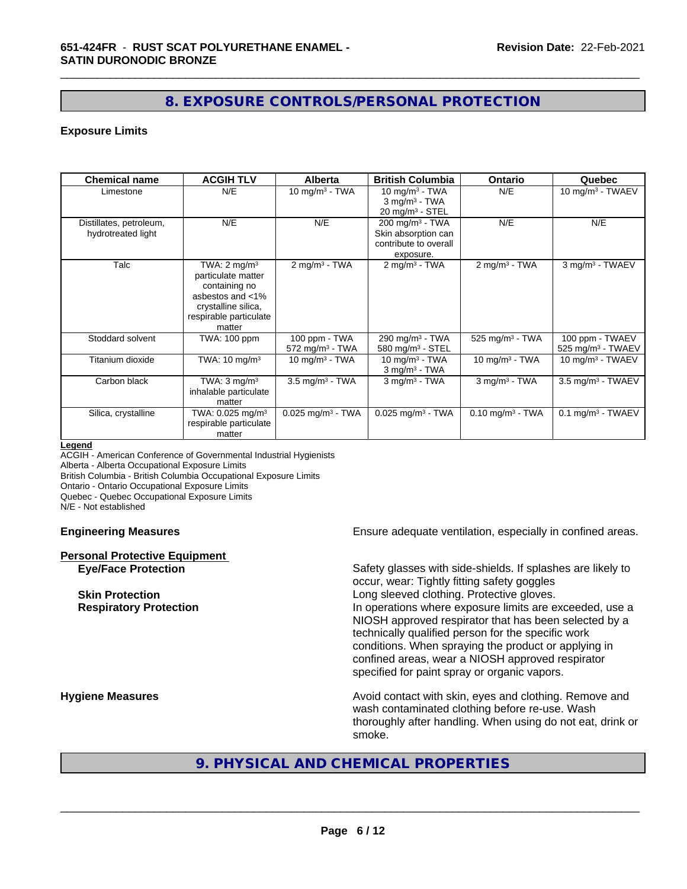# **8. EXPOSURE CONTROLS/PERSONAL PROTECTION**

\_\_\_\_\_\_\_\_\_\_\_\_\_\_\_\_\_\_\_\_\_\_\_\_\_\_\_\_\_\_\_\_\_\_\_\_\_\_\_\_\_\_\_\_\_\_\_\_\_\_\_\_\_\_\_\_\_\_\_\_\_\_\_\_\_\_\_\_\_\_\_\_\_\_\_\_\_\_\_\_\_\_\_\_\_\_\_\_\_\_\_\_\_

#### **Exposure Limits**

| <b>Chemical name</b>                          | <b>ACGIH TLV</b>                                                                                                                              | <b>Alberta</b>                                 | <b>British Columbia</b>                                                                    | <b>Ontario</b>                 | Quebec                                           |
|-----------------------------------------------|-----------------------------------------------------------------------------------------------------------------------------------------------|------------------------------------------------|--------------------------------------------------------------------------------------------|--------------------------------|--------------------------------------------------|
| Limestone                                     | N/E                                                                                                                                           | 10 mg/m $3$ - TWA                              | 10 mg/m $3$ - TWA<br>$3$ mg/m <sup>3</sup> - TWA<br>$20 \text{ mg/m}^3$ - STEL             | N/E                            | 10 mg/m $3$ - TWAEV                              |
| Distillates, petroleum,<br>hydrotreated light | N/E                                                                                                                                           | N/E                                            | $200$ mg/m <sup>3</sup> - TWA<br>Skin absorption can<br>contribute to overall<br>exposure. | N/E                            | N/E                                              |
| Talc                                          | TWA: $2 \text{ mq/m}^3$<br>particulate matter<br>containing no<br>asbestos and <1%<br>crystalline silica,<br>respirable particulate<br>matter | $2$ mg/m <sup>3</sup> - TWA                    | $2 \text{ mg/m}^3$ - TWA                                                                   | $2$ mg/m <sup>3</sup> - TWA    | 3 mg/m <sup>3</sup> - TWAEV                      |
| Stoddard solvent                              | TWA: 100 ppm                                                                                                                                  | 100 ppm - TWA<br>$572$ mg/m <sup>3</sup> - TWA | 290 mg/m <sup>3</sup> - TWA<br>580 mg/m $3 -$ STEL                                         | $525$ mg/m <sup>3</sup> - TWA  | 100 ppm - TWAEV<br>525 mg/m <sup>3</sup> - TWAEV |
| Titanium dioxide                              | TWA: $10 \text{ mg/m}^3$                                                                                                                      | 10 mg/m $3$ - TWA                              | 10 mg/m $3$ - TWA<br>$3$ mg/m <sup>3</sup> - TWA                                           | 10 $mq/m3$ - TWA               | $10 \text{ mg/m}^3$ - TWAEV                      |
| Carbon black                                  | TWA: $3 \text{ mg/m}^3$<br>inhalable particulate<br>matter                                                                                    | $3.5$ mg/m $3$ - TWA                           | $3$ mg/m $3$ - TWA                                                                         | $3$ mg/m $3$ - TWA             | $3.5$ mg/m <sup>3</sup> - TWAEV                  |
| Silica, crystalline                           | TWA: $0.025$ mg/m <sup>3</sup><br>respirable particulate<br>matter                                                                            | $0.025$ mg/m <sup>3</sup> - TWA                | $0.025$ mg/m <sup>3</sup> - TWA                                                            | $0.10$ mg/m <sup>3</sup> - TWA | $0.1$ mg/m <sup>3</sup> - TWAEV                  |

#### **Legend**

ACGIH - American Conference of Governmental Industrial Hygienists Alberta - Alberta Occupational Exposure Limits

British Columbia - British Columbia Occupational Exposure Limits Ontario - Ontario Occupational Exposure Limits

Quebec - Quebec Occupational Exposure Limits

N/E - Not established

# **Personal Protective Equipment**

**Engineering Measures Ensure** Ensure adequate ventilation, especially in confined areas.

**Eye/Face Protection** Safety glasses with side-shields. If splashes are likely to occur, wear: Tightly fitting safety goggles **Skin Protection Skin Protection Skin Protective gloves.** Long sleeved clothing. Protective gloves. **Respiratory Protection In operations where exposure limits are exceeded, use a** NIOSH approved respirator that has been selected by a technically qualified person for the specific work conditions. When spraying the product or applying in confined areas, wear a NIOSH approved respirator specified for paint spray or organic vapors.

**Hygiene Measures Avoid contact with skin, eyes and clothing. Remove and Avoid contact with skin, eyes and clothing. Remove and Avoid contact with skin, eyes and clothing. Remove and** wash contaminated clothing before re-use. Wash thoroughly after handling. When using do not eat, drink or smoke.

### **9. PHYSICAL AND CHEMICAL PROPERTIES**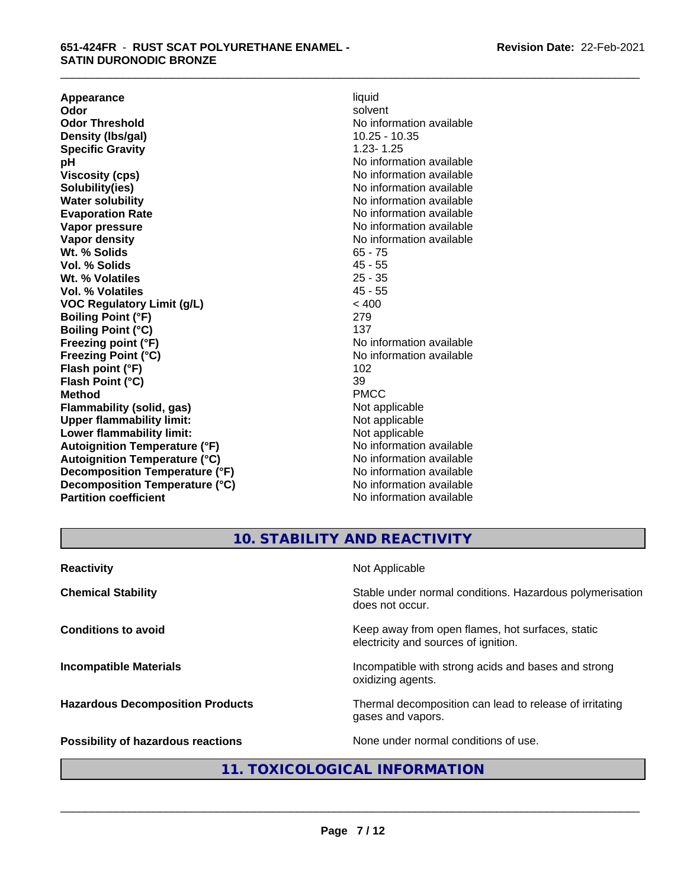**Appearance** liquid and **a liquid development of the set of the set of the set of the set of the set of the set of the set of the set of the set of the set of the set of the set of the set of the set of the set of the set Odor** solvent **Odor Threshold** No information available **Density (Ibs/gal)** 10.25 - 10.35<br> **Specific Gravity** 1.23-1.25 **Specific Gravity**<br>pH **pH**<br>
Viscosity (cps) The Contract of the Contract of No information available<br>
No information available **Solubility(ies)** No information available in the solution of the solution of the solution available in the solution of the solution of the solution of the solution of the solution of the solution of the solution of the so **Water solubility** No information available **Evaporation Rate No information available No information available Vapor pressure** No information available **Vapor density No information available No** information available **Wt. % Solids** 65 - 75<br> **Vol. % Solids** 65 - 75 **Vol. % Solids** 45 - 55<br> **Wt. % Volatiles** 25 - 35 **Wt. % Volatiles Vol. % Volatiles** 45 - 55 **VOC Regulatory Limit (g/L)** < 400 **Boiling Point (°F)** 279 **Boiling Point (°C)** 137<br> **Preezing point (°F)** No interval 137 **Freezing Point (°C)** and **COV** No information available **Flash point (°F)** 102 **Flash Point (°C)** 39 **Method** PMCC **Flammability (solid, gas)**<br> **Commability limit:**<br>
Upper flammability limit:<br>
Not applicable **Upper flammability limit:**<br> **Lower flammability limit:**<br>
Not applicable<br>
Not applicable **Lower flammability limit:**<br> **Autoianition Temperature (°F)** Not applicable Not applicable not a Not applicable **Autoignition Temperature (°F) Autoignition Temperature (°C)** No information available **Decomposition Temperature (°F)** No information available **Decomposition Temperature (°C)** No information available **Partition coefficient** No information available

**Viscosity (cps)** No information available **No information available** 

\_\_\_\_\_\_\_\_\_\_\_\_\_\_\_\_\_\_\_\_\_\_\_\_\_\_\_\_\_\_\_\_\_\_\_\_\_\_\_\_\_\_\_\_\_\_\_\_\_\_\_\_\_\_\_\_\_\_\_\_\_\_\_\_\_\_\_\_\_\_\_\_\_\_\_\_\_\_\_\_\_\_\_\_\_\_\_\_\_\_\_\_\_

# **10. STABILITY AND REACTIVITY**

| <b>Reactivity</b>                       | Not Applicable                                                                           |
|-----------------------------------------|------------------------------------------------------------------------------------------|
| <b>Chemical Stability</b>               | Stable under normal conditions. Hazardous polymerisation<br>does not occur.              |
| <b>Conditions to avoid</b>              | Keep away from open flames, hot surfaces, static<br>electricity and sources of ignition. |
| <b>Incompatible Materials</b>           | Incompatible with strong acids and bases and strong<br>oxidizing agents.                 |
| <b>Hazardous Decomposition Products</b> | Thermal decomposition can lead to release of irritating<br>gases and vapors.             |
| Possibility of hazardous reactions      | None under normal conditions of use.                                                     |

# **11. TOXICOLOGICAL INFORMATION**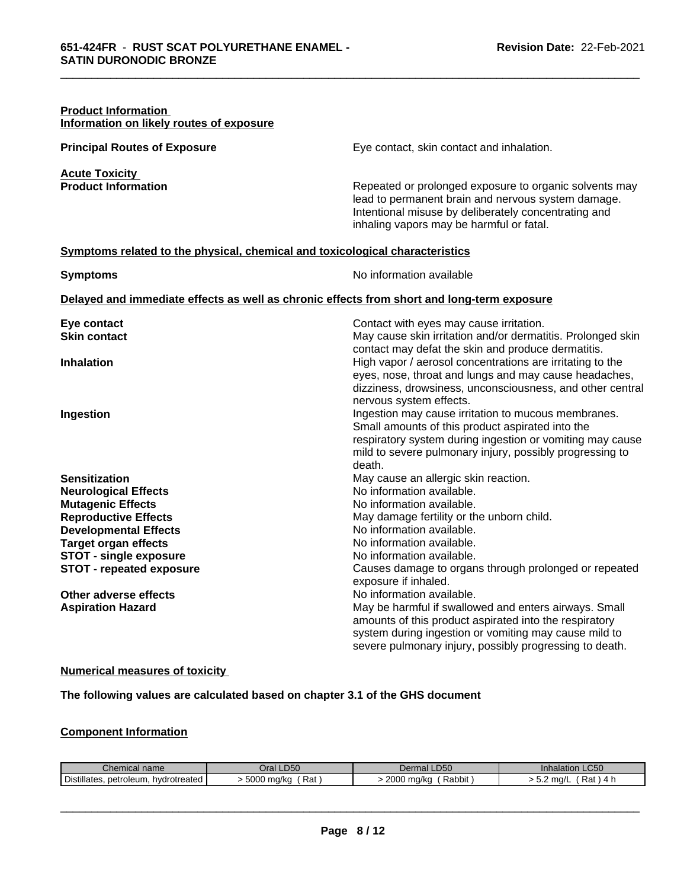| <b>Product Information</b><br>Information on likely routes of exposure                                                                                                                                                                     |                                                                                                                                                                                                                                                                                                                                    |
|--------------------------------------------------------------------------------------------------------------------------------------------------------------------------------------------------------------------------------------------|------------------------------------------------------------------------------------------------------------------------------------------------------------------------------------------------------------------------------------------------------------------------------------------------------------------------------------|
| <b>Principal Routes of Exposure</b>                                                                                                                                                                                                        | Eye contact, skin contact and inhalation.                                                                                                                                                                                                                                                                                          |
| <b>Acute Toxicity</b><br><b>Product Information</b>                                                                                                                                                                                        | Repeated or prolonged exposure to organic solvents may<br>lead to permanent brain and nervous system damage.<br>Intentional misuse by deliberately concentrating and<br>inhaling vapors may be harmful or fatal.                                                                                                                   |
| Symptoms related to the physical, chemical and toxicological characteristics                                                                                                                                                               |                                                                                                                                                                                                                                                                                                                                    |
| <b>Symptoms</b>                                                                                                                                                                                                                            | No information available                                                                                                                                                                                                                                                                                                           |
| Delayed and immediate effects as well as chronic effects from short and long-term exposure                                                                                                                                                 |                                                                                                                                                                                                                                                                                                                                    |
| Eye contact<br><b>Skin contact</b>                                                                                                                                                                                                         | Contact with eyes may cause irritation.<br>May cause skin irritation and/or dermatitis. Prolonged skin<br>contact may defat the skin and produce dermatitis.                                                                                                                                                                       |
| <b>Inhalation</b>                                                                                                                                                                                                                          | High vapor / aerosol concentrations are irritating to the<br>eyes, nose, throat and lungs and may cause headaches,                                                                                                                                                                                                                 |
| Ingestion                                                                                                                                                                                                                                  | dizziness, drowsiness, unconsciousness, and other central<br>nervous system effects.<br>Ingestion may cause irritation to mucous membranes.<br>Small amounts of this product aspirated into the<br>respiratory system during ingestion or vomiting may cause<br>mild to severe pulmonary injury, possibly progressing to<br>death. |
| <b>Sensitization</b><br><b>Neurological Effects</b><br><b>Mutagenic Effects</b><br><b>Reproductive Effects</b><br><b>Developmental Effects</b><br><b>Target organ effects</b><br><b>STOT - single exposure</b><br>STOT - repeated exposure | May cause an allergic skin reaction.<br>No information available.<br>No information available.<br>May damage fertility or the unborn child.<br>No information available.<br>No information available.<br>No information available.<br>Causes damage to organs through prolonged or repeated<br>exposure if inhaled.                |
| Other adverse effects<br><b>Aspiration Hazard</b>                                                                                                                                                                                          | No information available.<br>May be harmful if swallowed and enters airways. Small<br>amounts of this product aspirated into the respiratory<br>system during ingestion or vomiting may cause mild to<br>severe pulmonary injury, possibly progressing to death.                                                                   |

\_\_\_\_\_\_\_\_\_\_\_\_\_\_\_\_\_\_\_\_\_\_\_\_\_\_\_\_\_\_\_\_\_\_\_\_\_\_\_\_\_\_\_\_\_\_\_\_\_\_\_\_\_\_\_\_\_\_\_\_\_\_\_\_\_\_\_\_\_\_\_\_\_\_\_\_\_\_\_\_\_\_\_\_\_\_\_\_\_\_\_\_\_

#### **Numerical measures of toxicity**

**The following values are calculated based on chapter 3.1 of the GHS document**

#### **Component Information**

| l name                                                                           | Oral LD50                                            | rmal LD50                                         | $\sim$ $\sim$ $\sim$               |
|----------------------------------------------------------------------------------|------------------------------------------------------|---------------------------------------------------|------------------------------------|
| Chemical                                                                         |                                                      | Derma'                                            | <b>Innalation LC50</b>             |
| $\overline{\phantom{a}}$<br>.<br>hydrotreated<br>petroleum<br><b>Distillates</b> | ENNA<br>$DA+$<br>$m\alpha/k$<br>rsal<br>' HUVKU<br>w | 2000<br>. Dobb.<br>J ma/ka<br><b>\αυυπ</b><br>. . | ma/<br>ົ⊔ດ+<br>Rdi<br>.<br><u></u> |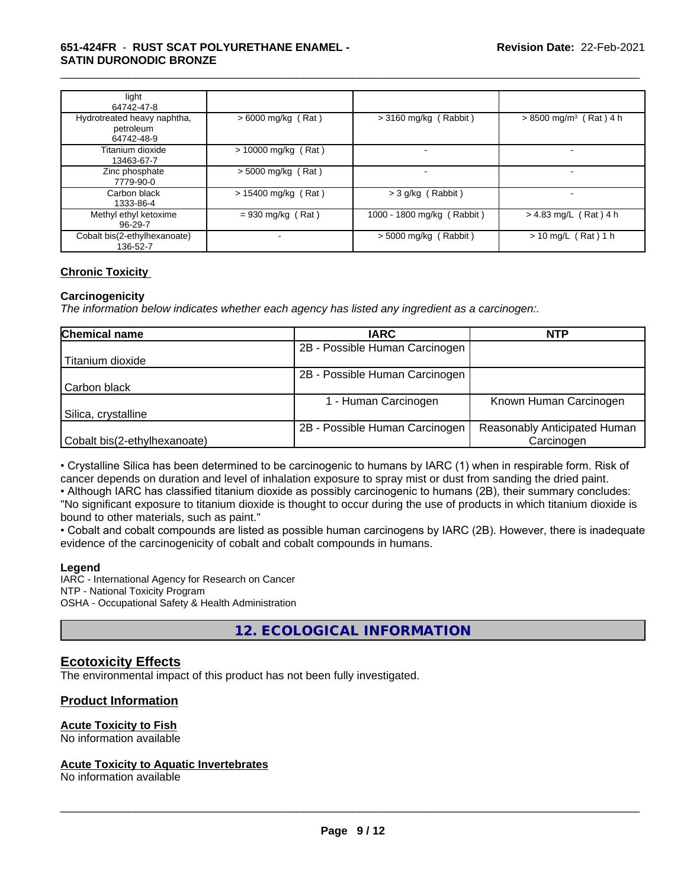#### **651-424FR** - **RUST SCAT POLYURETHANE ENAMEL - SATIN DURONODIC BRONZE**

| light<br>64742-47-8                                    |                       |                            |                                      |
|--------------------------------------------------------|-----------------------|----------------------------|--------------------------------------|
| Hydrotreated heavy naphtha,<br>petroleum<br>64742-48-9 | $> 6000$ mg/kg (Rat)  | $>$ 3160 mg/kg (Rabbit)    | $> 8500$ mg/m <sup>3</sup> (Rat) 4 h |
| Titanium dioxide<br>13463-67-7                         | $> 10000$ mg/kg (Rat) |                            |                                      |
| Zinc phosphate<br>7779-90-0                            | $>$ 5000 mg/kg (Rat)  |                            |                                      |
| Carbon black<br>1333-86-4                              | $> 15400$ mg/kg (Rat) | > 3 g/kg (Rabbit)          |                                      |
| Methyl ethyl ketoxime<br>96-29-7                       | $= 930$ mg/kg (Rat)   | 1000 - 1800 mg/kg (Rabbit) | $> 4.83$ mg/L (Rat) 4 h              |
| Cobalt bis(2-ethylhexanoate)<br>136-52-7               |                       | > 5000 mg/kg (Rabbit)      | $> 10$ mg/L (Rat) 1 h                |

\_\_\_\_\_\_\_\_\_\_\_\_\_\_\_\_\_\_\_\_\_\_\_\_\_\_\_\_\_\_\_\_\_\_\_\_\_\_\_\_\_\_\_\_\_\_\_\_\_\_\_\_\_\_\_\_\_\_\_\_\_\_\_\_\_\_\_\_\_\_\_\_\_\_\_\_\_\_\_\_\_\_\_\_\_\_\_\_\_\_\_\_\_

#### **Chronic Toxicity**

#### **Carcinogenicity**

*The information below indicateswhether each agency has listed any ingredient as a carcinogen:.*

| <b>Chemical name</b>         | <b>IARC</b>                    | <b>NTP</b>                   |
|------------------------------|--------------------------------|------------------------------|
|                              | 2B - Possible Human Carcinogen |                              |
| Titanium dioxide             |                                |                              |
|                              | 2B - Possible Human Carcinogen |                              |
| Carbon black                 |                                |                              |
|                              | - Human Carcinogen             | Known Human Carcinogen       |
| Silica, crystalline          |                                |                              |
|                              | 2B - Possible Human Carcinogen | Reasonably Anticipated Human |
| Cobalt bis(2-ethylhexanoate) |                                | Carcinogen                   |

• Crystalline Silica has been determined to be carcinogenic to humans by IARC (1) when in respirable form. Risk of cancer depends on duration and level of inhalation exposure to spray mist or dust from sanding the dried paint.

• Although IARC has classified titanium dioxide as possibly carcinogenic to humans (2B), their summary concludes: "No significant exposure to titanium dioxide is thought to occur during the use of products in which titanium dioxide is bound to other materials, such as paint."

• Cobalt and cobalt compounds are listed as possible human carcinogens by IARC (2B). However, there is inadequate evidence of the carcinogenicity of cobalt and cobalt compounds in humans.

#### **Legend**

IARC - International Agency for Research on Cancer NTP - National Toxicity Program OSHA - Occupational Safety & Health Administration

**12. ECOLOGICAL INFORMATION**

### **Ecotoxicity Effects**

The environmental impact of this product has not been fully investigated.

#### **Product Information**

# **Acute Toxicity to Fish**

No information available

#### **Acute Toxicity to Aquatic Invertebrates**

No information available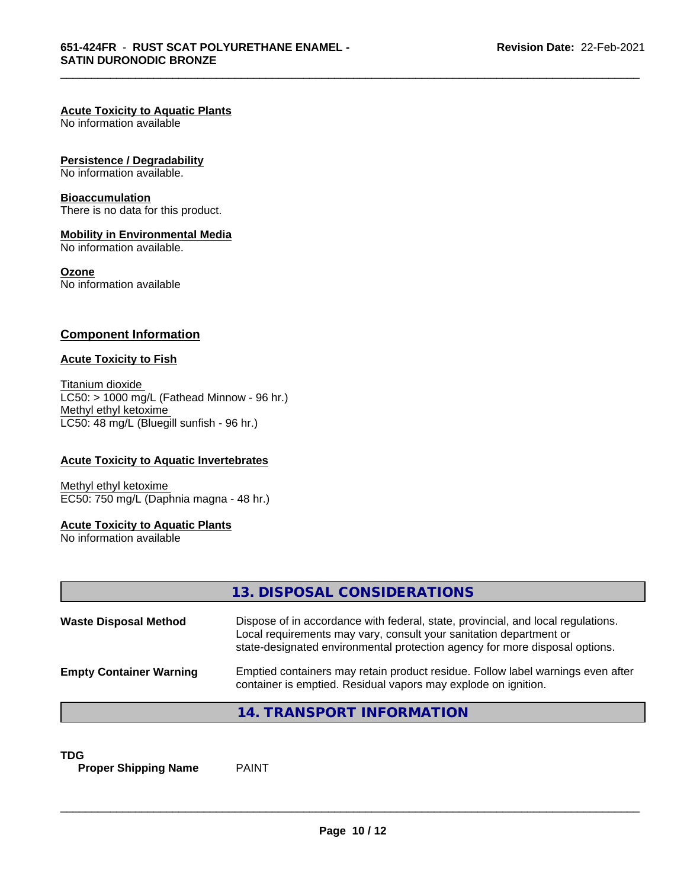\_\_\_\_\_\_\_\_\_\_\_\_\_\_\_\_\_\_\_\_\_\_\_\_\_\_\_\_\_\_\_\_\_\_\_\_\_\_\_\_\_\_\_\_\_\_\_\_\_\_\_\_\_\_\_\_\_\_\_\_\_\_\_\_\_\_\_\_\_\_\_\_\_\_\_\_\_\_\_\_\_\_\_\_\_\_\_\_\_\_\_\_\_

#### **Acute Toxicity to Aquatic Plants**

No information available

#### **Persistence / Degradability**

No information available.

#### **Bioaccumulation**

There is no data for this product.

#### **Mobility in Environmental Media**

No information available.

#### **Ozone**

No information available

#### **Component Information**

#### **Acute Toxicity to Fish**

Titanium dioxide  $LC50:$  > 1000 mg/L (Fathead Minnow - 96 hr.) Methyl ethyl ketoxime LC50: 48 mg/L (Bluegill sunfish - 96 hr.)

#### **Acute Toxicity to Aquatic Invertebrates**

Methyl ethyl ketoxime EC50: 750 mg/L (Daphnia magna - 48 hr.)

#### **Acute Toxicity to Aquatic Plants**

No information available

|                                | 13. DISPOSAL CONSIDERATIONS                                                                                                                                                                                                           |
|--------------------------------|---------------------------------------------------------------------------------------------------------------------------------------------------------------------------------------------------------------------------------------|
| <b>Waste Disposal Method</b>   | Dispose of in accordance with federal, state, provincial, and local regulations.<br>Local requirements may vary, consult your sanitation department or<br>state-designated environmental protection agency for more disposal options. |
| <b>Empty Container Warning</b> | Emptied containers may retain product residue. Follow label warnings even after<br>container is emptied. Residual vapors may explode on ignition.                                                                                     |
|                                | 14. TRANSPORT INFORMATION                                                                                                                                                                                                             |

#### **TDG**

**Proper Shipping Name** PAINT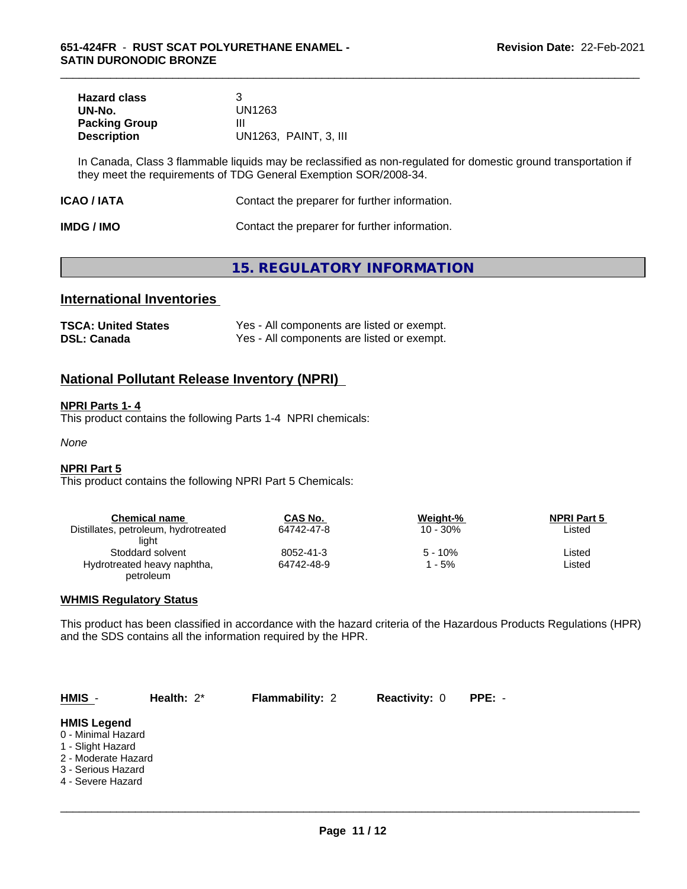| <b>Hazard class</b>  |                       |
|----------------------|-----------------------|
| UN-No.               | UN1263                |
| <b>Packing Group</b> | ш                     |
| <b>Description</b>   | UN1263, PAINT, 3, III |

In Canada, Class 3 flammable liquids may be reclassified as non-regulated for domestic ground transportation if they meet the requirements of TDG General Exemption SOR/2008-34.

\_\_\_\_\_\_\_\_\_\_\_\_\_\_\_\_\_\_\_\_\_\_\_\_\_\_\_\_\_\_\_\_\_\_\_\_\_\_\_\_\_\_\_\_\_\_\_\_\_\_\_\_\_\_\_\_\_\_\_\_\_\_\_\_\_\_\_\_\_\_\_\_\_\_\_\_\_\_\_\_\_\_\_\_\_\_\_\_\_\_\_\_\_

| Contact the preparer for further information.<br>ICAO / IATA |  |
|--------------------------------------------------------------|--|
|--------------------------------------------------------------|--|

| <b>IMDG / IMO</b> | Contact the preparer for further information. |
|-------------------|-----------------------------------------------|
|-------------------|-----------------------------------------------|

# **15. REGULATORY INFORMATION**

# **International Inventories**

| <b>TSCA: United States</b> | Yes - All components are listed or exempt. |
|----------------------------|--------------------------------------------|
| <b>DSL: Canada</b>         | Yes - All components are listed or exempt. |

## **National Pollutant Release Inventory (NPRI)**

#### **NPRI Parts 1- 4**

This product contains the following Parts 1-4 NPRI chemicals:

*None*

#### **NPRI Part 5**

This product contains the following NPRI Part 5 Chemicals:

| <b>Chemical name</b>                 | CAS No.    | Weight-%    | <b>NPRI Part 5</b> |  |
|--------------------------------------|------------|-------------|--------------------|--|
| Distillates, petroleum, hydrotreated | 64742-47-8 | $10 - 30\%$ | Listed             |  |
| liaht                                |            |             |                    |  |
| Stoddard solvent                     | 8052-41-3  | $5 - 10%$   | ∟isted             |  |
| Hydrotreated heavy naphtha,          | 64742-48-9 | - 5%        | Listed             |  |
| petroleum                            |            |             |                    |  |

#### **WHMIS Regulatory Status**

This product has been classified in accordance with the hazard criteria of the Hazardous Products Regulations (HPR) and the SDS contains all the information required by the HPR.

| $HMIS -$                                                                                                                        | Health: $2^*$ | <b>Flammability: 2</b> | <b>Reactivity: 0</b> | PPE: - |  |
|---------------------------------------------------------------------------------------------------------------------------------|---------------|------------------------|----------------------|--------|--|
| <b>HMIS Legend</b><br>0 - Minimal Hazard<br>1 - Slight Hazard<br>2 - Moderate Hazard<br>3 - Serious Hazard<br>4 - Severe Hazard |               |                        |                      |        |  |
|                                                                                                                                 |               |                        |                      |        |  |